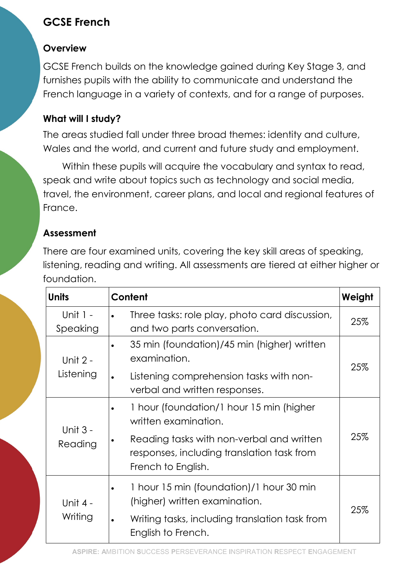# GCSE French

### **Overview**

GCSE French builds on the knowledge gained during Key Stage 3, and furnishes pupils with the ability to communicate and understand the French language in a variety of contexts, and for a range of purposes.

## What will I study?

The areas studied fall under three broad themes: identity and culture, Wales and the world, and current and future study and employment.

Within these pupils will acquire the vocabulary and syntax to read, speak and write about topics such as technology and social media, travel, the environment, career plans, and local and regional features of France.

# Assessment

There are four examined units, covering the key skill areas of speaking, listening, reading and writing. All assessments are tiered at either higher or foundation.

| <b>Units</b>           | Content                                                                                                       | Weight |
|------------------------|---------------------------------------------------------------------------------------------------------------|--------|
| Unit $1 -$<br>Speaking | Three tasks: role play, photo card discussion,<br>$\bullet$<br>and two parts conversation.                    | 25%    |
| Unit 2 -<br>Listening  | 35 min (foundation)/45 min (higher) written<br>examination.                                                   | 25%    |
|                        | Listening comprehension tasks with non-<br>$\bullet$<br>verbal and written responses.                         |        |
| Unit $3 -$<br>Reading  | 1 hour (foundation/1 hour 15 min (higher<br>written examination.                                              | 25%    |
|                        | Reading tasks with non-verbal and written<br>responses, including translation task from<br>French to English. |        |
| Unit 4 -<br>Writing    | 1 hour 15 min (foundation)/1 hour 30 min<br>٠<br>(higher) written examination.                                | 25%    |
|                        | Writing tasks, including translation task from<br>$\bullet$<br>English to French.                             |        |